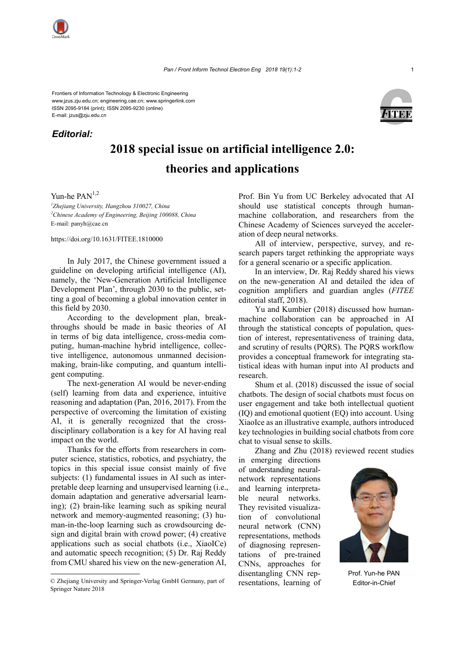

## *Editorial:*



## **2018 special issue on artificial intelligence 2.0: theories and applications**

Yun-he  $PAN<sup>1,2</sup>$ 

*1 Zhejiang University, Hangzhou 310027, China 2 Chinese Academy of Engineering, Beijing 100088, China* E-mail: panyh@cae.cn

https://doi.org/10.1631/FITEE.1810000

In July 2017, the Chinese government issued a guideline on developing artificial intelligence (AI), namely, the 'New-Generation Artificial Intelligence Development Plan', through 2030 to the public, setting a goal of becoming a global innovation center in this field by 2030.

According to the development plan, breakthroughs should be made in basic theories of AI in terms of big data intelligence, cross-media computing, human-machine hybrid intelligence, collective intelligence, autonomous unmanned decisionmaking, brain-like computing, and quantum intelligent computing.

The next-generation AI would be never-ending (self) learning from data and experience, intuitive reasoning and adaptation (Pan, 2016, 2017). From the perspective of overcoming the limitation of existing AI, it is generally recognized that the crossdisciplinary collaboration is a key for AI having real impact on the world.

Thanks for the efforts from researchers in computer science, statistics, robotics, and psychiatry, the topics in this special issue consist mainly of five subjects: (1) fundamental issues in AI such as interpretable deep learning and unsupervised learning (i.e., domain adaptation and generative adversarial learning); (2) brain-like learning such as spiking neural network and memory-augmented reasoning; (3) human-in-the-loop learning such as crowdsourcing design and digital brain with crowd power; (4) creative applications such as social chatbots (i.e., XiaoICe) and automatic speech recognition; (5) Dr. Raj Reddy from CMU shared his view on the new-generation AI,

Prof. Bin Yu from UC Berkeley advocated that AI should use statistical concepts through humanmachine collaboration, and researchers from the Chinese Academy of Sciences surveyed the acceleration of deep neural networks.

All of interview, perspective, survey, and research papers target rethinking the appropriate ways for a general scenario or a specific application.

In an interview, Dr. Raj Reddy shared his views on the new-generation AI and detailed the idea of cognition amplifiers and guardian angles (*FITEE* editorial staff, 2018).

Yu and Kumbier (2018) discussed how humanmachine collaboration can be approached in AI through the statistical concepts of population, question of interest, representativeness of training data, and scrutiny of results (PQRS). The PQRS workflow provides a conceptual framework for integrating statistical ideas with human input into AI products and research.

Shum et al. (2018) discussed the issue of social chatbots. The design of social chatbots must focus on user engagement and take both intellectual quotient (IQ) and emotional quotient (EQ) into account. Using XiaoIce as an illustrative example, authors introduced key technologies in building social chatbots from core chat to visual sense to skills.

Zhang and Zhu (2018) reviewed recent studies

in emerging directions of understanding neuralnetwork representations and learning interpretable neural networks. They revisited visualization of convolutional neural network (CNN) representations, methods of diagnosing representations of pre-trained CNNs, approaches for disentangling CNN representations, learning of



Prof. Yun-he PAN

<sup>©</sup> Zhejiang University and Springer-Verlag GmbH Germany, part of resentations learning of Fditor-in-Chief Springer Nature 2018